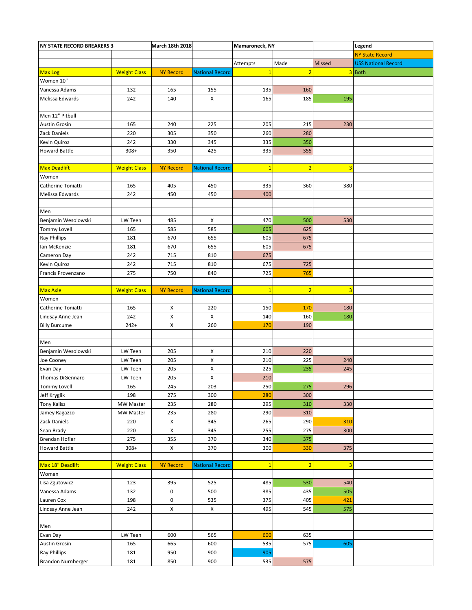| <b>NY STATE RECORD BREAKERS 3</b> |                     | March 18th 2018  |                        | Mamaroneck, NY |                |        | Legend                     |
|-----------------------------------|---------------------|------------------|------------------------|----------------|----------------|--------|----------------------------|
|                                   |                     |                  |                        |                |                |        | <b>NY State Record</b>     |
|                                   |                     |                  |                        | Attempts       | Made           | Missed | <b>USS National Record</b> |
| <b>Max Log</b>                    | <b>Weight Class</b> | <b>NY Record</b> | <b>National Record</b> | $\overline{1}$ | $\overline{2}$ |        | $3$ Both                   |
| Women 10"                         |                     |                  |                        |                |                |        |                            |
| Vanessa Adams                     | 132                 | 165              | 155                    | 135            | 160            |        |                            |
| Melissa Edwards                   | 242                 | 140              | X                      | 165            | 185            | 195    |                            |
|                                   |                     |                  |                        |                |                |        |                            |
| Men 12" Pitbull                   |                     |                  |                        |                |                |        |                            |
| Austin Grosin                     | 165                 | 240              | 225                    | 205            | 215            | 230    |                            |
| Zack Daniels                      | 220                 | 305              | 350                    | 260            | 280            |        |                            |
| Kevin Quiroz                      | 242                 | 330              | 345                    | 335            | 350            |        |                            |
| <b>Howard Battle</b>              | $308+$              | 350              | 425                    | 335            | 355            |        |                            |
|                                   |                     |                  |                        |                |                |        |                            |
| <b>Max Deadlift</b>               | <b>Weight Class</b> | <b>NY Record</b> | <b>National Record</b> | $\mathbf{1}$   | $\overline{2}$ | 3      |                            |
| Women                             |                     |                  |                        |                |                |        |                            |
| Catherine Toniatti                | 165                 | 405              | 450                    | 335            | 360            | 380    |                            |
| Melissa Edwards                   | 242                 | 450              | 450                    | 400            |                |        |                            |
|                                   |                     |                  |                        |                |                |        |                            |
| Men                               |                     |                  |                        |                |                |        |                            |
| Benjamin Wesolowski               | LW Teen             | 485              | X                      | 470            | 500            | 530    |                            |
| <b>Tommy Lovell</b>               | 165                 | 585              | 585                    | 605            | 625            |        |                            |
| Ray Phillips                      | 181                 | 670              | 655                    | 605            | 675            |        |                            |
| Ian McKenzie                      | 181                 | 670              | 655                    | 605            | 675            |        |                            |
| Cameron Day                       | 242                 | 715              | 810                    | 675            |                |        |                            |
| Kevin Quiroz                      | 242                 | 715              | 810                    | 675            | 725            |        |                            |
| Francis Provenzano                | 275                 | 750              | 840                    | 725            | 765            |        |                            |
|                                   |                     |                  |                        |                |                |        |                            |
| <b>Max Axle</b>                   | <b>Weight Class</b> | <b>NY Record</b> | <b>National Record</b> | $\overline{1}$ | $\overline{2}$ | 3      |                            |
| Women                             |                     |                  |                        |                |                |        |                            |
| Catherine Toniatti                | 165                 | Х                | 220                    | 150            | 170            | 180    |                            |
| Lindsay Anne Jean                 | 242                 | X                | X                      | 140            | 160            | 180    |                            |
| <b>Billy Burcume</b>              | $242+$              | X                | 260                    | 170            | 190            |        |                            |
|                                   |                     |                  |                        |                |                |        |                            |
| Men                               |                     |                  |                        |                |                |        |                            |
| Benjamin Wesolowski               | LW Teen             | 205              | X                      | 210            | 220            |        |                            |
| Joe Cooney                        | LW Teen             | 205              | X                      | 210            | 225            | 240    |                            |
| Evan Day                          | LW Teen             | 205              | X                      | 225            | 235            | 245    |                            |
| Thomas DiGennaro                  | LW Teen             | 205              | х                      | 210            |                |        |                            |
| Tommy Lovell                      | 165                 | 245              | 203                    | 250            | 275            | 296    |                            |
| Jeff Kryglik                      | 198                 | 275              | 300                    | 280            | 300            |        |                            |
| <b>Tony Kalisz</b>                | MW Master           | 235              | 280                    | 295            | 310            | 330    |                            |
| Jamey Ragazzo                     | MW Master           | 235              | 280                    | 290            | 310            |        |                            |
| Zack Daniels                      | 220                 | X                | 345                    | 265            | 290            | 310    |                            |
| Sean Brady                        | 220                 | X                | 345                    | 255            | 275            | 300    |                            |
| Brendan Hofler                    | 275                 | 355              | 370                    | 340            | 375            |        |                            |
| <b>Howard Battle</b>              | $308+$              | $\pmb{\times}$   | 370                    | 300            | 330            | 375    |                            |
|                                   |                     |                  |                        |                |                |        |                            |
| Max 18" Deadlift                  | <b>Weight Class</b> | <b>NY Record</b> | <b>National Record</b> | $\overline{1}$ | $\overline{2}$ | 3      |                            |
| Women                             |                     |                  |                        |                |                |        |                            |
| Lisa Zgutowicz                    | 123                 | 395              | 525                    | 485            | 530            | 540    |                            |
| Vanessa Adams                     | 132                 | $\mathbf 0$      | 500                    | 385            | 435            | 505    |                            |
| Lauren Cox                        | 198                 | $\pmb{0}$        | 535                    | 375            | 405            | 421    |                            |
| Lindsay Anne Jean                 | 242                 | X                | X                      | 495            | 545            | 575    |                            |
|                                   |                     |                  |                        |                |                |        |                            |
| Men                               |                     |                  |                        |                |                |        |                            |
| Evan Day                          | LW Teen             | 600              | 565                    | 600            | 635            |        |                            |
| <b>Austin Grosin</b>              | 165                 | 665              | 600                    | 535            | 575            | 605    |                            |
| Ray Phillips                      | 181                 | 950              | 900                    | 905            |                |        |                            |
| Brandon Nurnberger                | 181                 | 850              | 900                    | 535            | 575            |        |                            |
|                                   |                     |                  |                        |                |                |        |                            |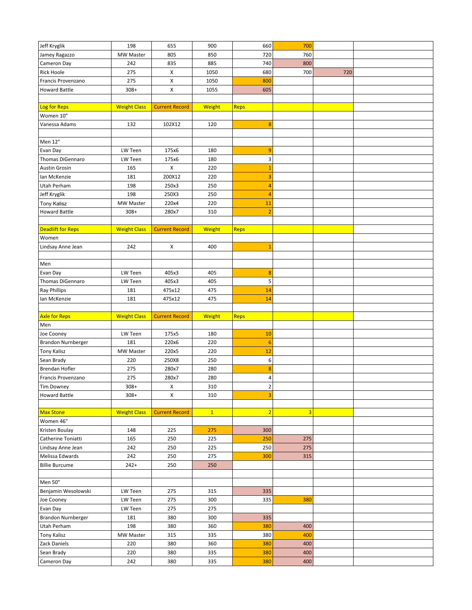| Jeff Kryglik               | 198                 | 655                   | 900           | 660            | 700                     |     |  |
|----------------------------|---------------------|-----------------------|---------------|----------------|-------------------------|-----|--|
| Jamey Ragazzo              | MW Master           | 805                   | 850           | 720            | 760                     |     |  |
| Cameron Day                | 242                 | 835                   | 885           | 740            | 800                     |     |  |
| <b>Rick Hoole</b>          | 275                 | $\pmb{\times}$        | 1050          | 680            | 700                     | 720 |  |
| Francis Provenzano         | 275                 | X                     | 1050          | 800            |                         |     |  |
| <b>Howard Battle</b>       | $308+$              | X                     | 1055          | 605            |                         |     |  |
|                            |                     |                       |               |                |                         |     |  |
| Log for Reps               | <b>Weight Class</b> | <b>Current Record</b> | <b>Weight</b> | Reps           |                         |     |  |
| Women 10"                  |                     |                       |               |                |                         |     |  |
| Vanessa Adams              | 132                 | 102X12                | 120           | 8              |                         |     |  |
|                            |                     |                       |               |                |                         |     |  |
| Men 12"                    |                     |                       |               |                |                         |     |  |
| Evan Day                   | LW Teen             | 175x6                 | 180           | 9              |                         |     |  |
| Thomas DiGennaro           | LW Teen             | 175x6                 | 180           | 3              |                         |     |  |
| Austin Grosin              | 165                 | X                     | 220           | $\mathbf{1}$   |                         |     |  |
| Ian McKenzie               | 181                 | 200X12                | 220           | 3              |                         |     |  |
| Utah Perham                | 198                 | 250x3                 | 250           | $\overline{a}$ |                         |     |  |
| Jeff Kryglik               | 198                 | 250X3                 | 250           | $\overline{4}$ |                         |     |  |
| <b>Tony Kalisz</b>         | MW Master           | 220x4                 | 220           | 11             |                         |     |  |
| <b>Howard Battle</b>       | $308+$              | 280x7                 | 310           | $\overline{2}$ |                         |     |  |
|                            |                     |                       |               |                |                         |     |  |
| Deadlift for Reps          | <b>Weight Class</b> | <b>Current Record</b> | <b>Weight</b> | Reps           |                         |     |  |
| Women                      |                     |                       |               |                |                         |     |  |
| Lindsay Anne Jean          | 242                 | X                     | 400           | $\mathbf{1}$   |                         |     |  |
|                            |                     |                       |               |                |                         |     |  |
| Men                        |                     |                       |               |                |                         |     |  |
| Evan Day                   | LW Teen             | 405x3                 | 405           | 8              |                         |     |  |
| Thomas DiGennaro           | LW Teen             | 405x3                 | 405           | 5              |                         |     |  |
| Ray Phillips               | 181                 | 475x12                | 475           | 14             |                         |     |  |
| Ian McKenzie               | 181                 | 475x12                | 475           | 14             |                         |     |  |
|                            |                     |                       |               |                |                         |     |  |
|                            |                     |                       |               |                |                         |     |  |
| Axle for Reps              | <b>Weight Class</b> | <b>Current Record</b> | <b>Weight</b> | Reps           |                         |     |  |
| Men                        |                     |                       |               |                |                         |     |  |
| Joe Cooney                 | LW Teen             | 175x5                 | 180           | 10             |                         |     |  |
| <b>Brandon Nurnberger</b>  | 181                 | 220x6                 | 220           | 6              |                         |     |  |
| <b>Tony Kalisz</b>         | MW Master           | 220x5                 | 220           | 12             |                         |     |  |
| Sean Brady                 | 220                 | 250X8                 | 250           | 6              |                         |     |  |
| Brendan Hofler             | 275                 | 280x7                 | 280           | 8              |                         |     |  |
| Francis Provenzano         | 275                 | 280x7                 | 280           | 4              |                         |     |  |
| <b>Tim Downey</b>          | $308+$              | Χ                     | 310           | $\mathbf{2}$   |                         |     |  |
| <b>Howard Battle</b>       | $308+$              | X                     | 310           | 3              |                         |     |  |
|                            |                     |                       |               |                |                         |     |  |
| Max Stone                  | <b>Weight Class</b> | <b>Current Record</b> | $\mathbf{1}$  | $\overline{2}$ | $\overline{\mathbf{3}}$ |     |  |
| Women 46"                  |                     |                       |               |                |                         |     |  |
| Kristen Boulay             | 148                 | 225                   | 275           | 300            |                         |     |  |
| Catherine Toniatti         | 165                 | 250                   | 225           | 250            | 275                     |     |  |
| Lindsay Anne Jean          | 242                 | 250                   | 225           | 250            | 275                     |     |  |
| Melissa Edwards            | 242                 | 250                   | 275           | 300            | 315                     |     |  |
| <b>Billie Burcume</b>      | $242+$              | 250                   | 250           |                |                         |     |  |
|                            |                     |                       |               |                |                         |     |  |
| Men 50"                    |                     |                       |               |                |                         |     |  |
| Benjamin Wesolowski        | LW Teen             | 275                   | 315           | 335            |                         |     |  |
| Joe Cooney                 | LW Teen             | 275                   | 300           | 335            | 380                     |     |  |
| Evan Day                   | LW Teen             | 275                   | 275           |                |                         |     |  |
| Brandon Nurnberger         | 181                 | 380                   | 300           | 335            |                         |     |  |
| Utah Perham                | 198                 | 380                   | 360           | 380            | 400                     |     |  |
| <b>Tony Kalisz</b>         | MW Master           | 315                   | 335           | 380            | 400<br>400              |     |  |
| Zack Daniels<br>Sean Brady | 220<br>220          | 380<br>380            | 360<br>335    | 380<br>380     | 400                     |     |  |
| Cameron Day                | 242                 | 380                   | 335           | 380            | 400                     |     |  |